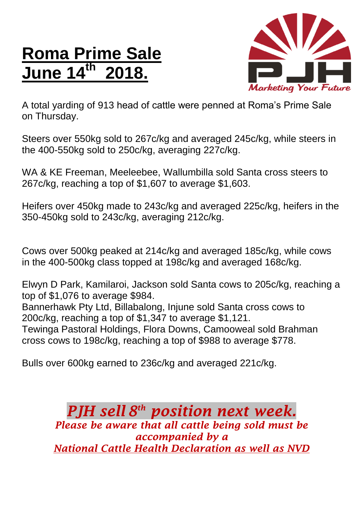## **Roma Prime Sale June 14 th 2018.**



A total yarding of 913 head of cattle were penned at Roma's Prime Sale on Thursday.

Steers over 550kg sold to 267c/kg and averaged 245c/kg, while steers in the 400-550kg sold to 250c/kg, averaging 227c/kg.

WA & KE Freeman, Meeleebee, Wallumbilla sold Santa cross steers to 267c/kg, reaching a top of \$1,607 to average \$1,603.

Heifers over 450kg made to 243c/kg and averaged 225c/kg, heifers in the 350-450kg sold to 243c/kg, averaging 212c/kg.

Cows over 500kg peaked at 214c/kg and averaged 185c/kg, while cows in the 400-500kg class topped at 198c/kg and averaged 168c/kg.

Elwyn D Park, Kamilaroi, Jackson sold Santa cows to 205c/kg, reaching a top of \$1,076 to average \$984.

Bannerhawk Pty Ltd, Billabalong, Injune sold Santa cross cows to 200c/kg, reaching a top of \$1,347 to average \$1,121.

Tewinga Pastoral Holdings, Flora Downs, Camooweal sold Brahman cross cows to 198c/kg, reaching a top of \$988 to average \$778.

Bulls over 600kg earned to 236c/kg and averaged 221c/kg.

*PJH sell 8 th position next week. Please be aware that all cattle being sold must be accompanied by a National Cattle Health Declaration as well as NVD*